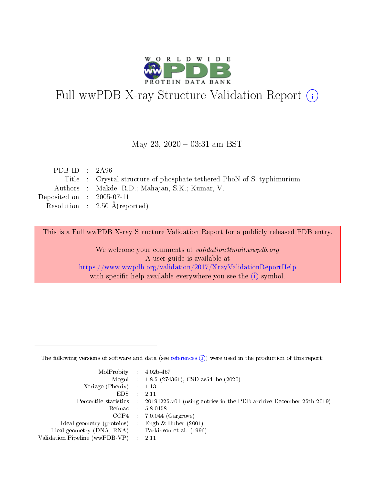

## Full wwPDB X-ray Structure Validation Report (i)

#### May 23,  $2020 - 03:31$  am BST

| PDB ID : $2A96$             |                                                                        |
|-----------------------------|------------------------------------------------------------------------|
|                             | Title : Crystal structure of phosphate tethered PhoN of S. typhimurium |
|                             | Authors : Makde, R.D.; Mahajan, S.K.; Kumar, V.                        |
| Deposited on : $2005-07-11$ |                                                                        |
|                             | Resolution : $2.50 \text{ Å}$ (reported)                               |
|                             |                                                                        |

This is a Full wwPDB X-ray Structure Validation Report for a publicly released PDB entry.

We welcome your comments at validation@mail.wwpdb.org A user guide is available at <https://www.wwpdb.org/validation/2017/XrayValidationReportHelp> with specific help available everywhere you see the  $(i)$  symbol.

The following versions of software and data (see [references](https://www.wwpdb.org/validation/2017/XrayValidationReportHelp#references)  $(1)$ ) were used in the production of this report:

| $MolProbability$ : 4.02b-467                        |                                                                                            |
|-----------------------------------------------------|--------------------------------------------------------------------------------------------|
|                                                     | Mogul : $1.8.5$ (274361), CSD as 541be (2020)                                              |
| Xtriage (Phenix) $: 1.13$                           |                                                                                            |
| EDS                                                 | -2.11                                                                                      |
|                                                     | Percentile statistics : 20191225.v01 (using entries in the PDB archive December 25th 2019) |
| Refmac 58.0158                                      |                                                                                            |
|                                                     | $CCP4$ 7.0.044 (Gargrove)                                                                  |
| Ideal geometry (proteins) : Engh $\&$ Huber (2001)  |                                                                                            |
| Ideal geometry (DNA, RNA) : Parkinson et al. (1996) |                                                                                            |
| Validation Pipeline (wwPDB-VP) : 2.11               |                                                                                            |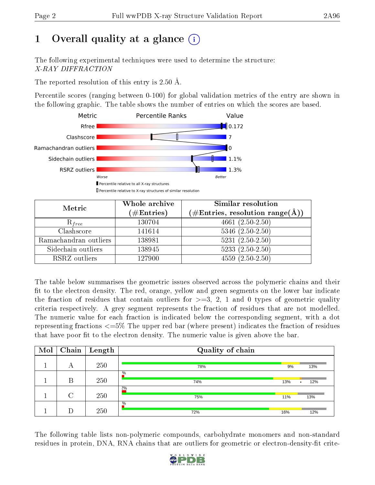## 1 [O](https://www.wwpdb.org/validation/2017/XrayValidationReportHelp#overall_quality)verall quality at a glance  $(i)$

The following experimental techniques were used to determine the structure: X-RAY DIFFRACTION

The reported resolution of this entry is 2.50 Å.

Percentile scores (ranging between 0-100) for global validation metrics of the entry are shown in the following graphic. The table shows the number of entries on which the scores are based.



| Metric                | Whole archive<br>$(\#\text{Entries})$ | Similar resolution<br>$(\#\text{Entries}, \text{resolution range}(\text{\AA}))$ |
|-----------------------|---------------------------------------|---------------------------------------------------------------------------------|
| $R_{free}$            | 130704                                | $4661(2.50-2.50)$                                                               |
| Clashscore            | 141614                                | $5346$ $(2.50-2.50)$                                                            |
| Ramachandran outliers | 138981                                | $5231 (2.50 - 2.50)$                                                            |
| Sidechain outliers    | 138945                                | $5233(2.50-2.50)$                                                               |
| RSRZ outliers         | 127900                                | $4559(2.50-2.50)$                                                               |

The table below summarises the geometric issues observed across the polymeric chains and their fit to the electron density. The red, orange, yellow and green segments on the lower bar indicate the fraction of residues that contain outliers for  $>=3, 2, 1$  and 0 types of geometric quality criteria respectively. A grey segment represents the fraction of residues that are not modelled. The numeric value for each fraction is indicated below the corresponding segment, with a dot representing fractions <=5% The upper red bar (where present) indicates the fraction of residues that have poor fit to the electron density. The numeric value is given above the bar.

| Mol |        | $\boxed{\text{Chain}}$ Length | Quality of chain |     |                  |
|-----|--------|-------------------------------|------------------|-----|------------------|
|     | А      | 250                           | 78%              | 9%  | 13%              |
|     | В      | 250                           | $\%$<br>74%      | 13% | 12%<br>$\bullet$ |
|     | $\cap$ | 250                           | $2\%$<br>75%     | 11% | 13%              |
|     |        | 250                           | $\%$<br>72%      | 16% | 12%              |

The following table lists non-polymeric compounds, carbohydrate monomers and non-standard residues in protein, DNA, RNA chains that are outliers for geometric or electron-density-fit crite-

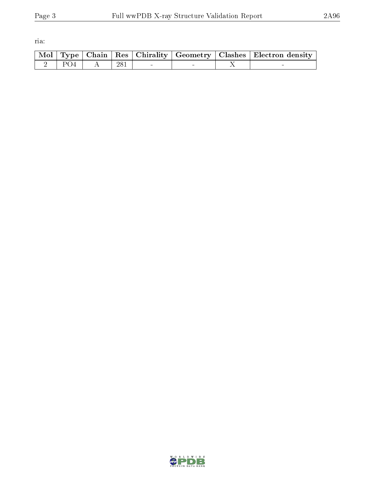ria:

|           |  |  | Mol   Type   Chain   Res   Chirality   Geometry   Clashes   Electron density |
|-----------|--|--|------------------------------------------------------------------------------|
| $P\Omega$ |  |  |                                                                              |

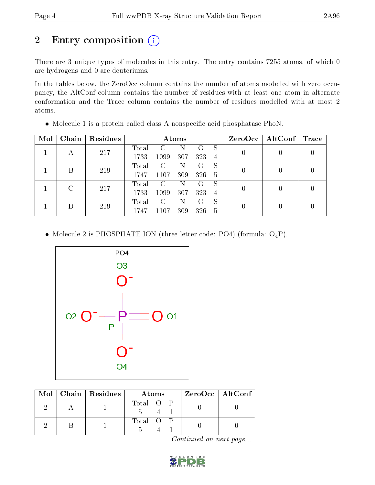## 2 Entry composition (i)

There are 3 unique types of molecules in this entry. The entry contains 7255 atoms, of which 0 are hydrogens and 0 are deuteriums.

In the tables below, the ZeroOcc column contains the number of atoms modelled with zero occupancy, the AltConf column contains the number of residues with at least one atom in alternate conformation and the Trace column contains the number of residues modelled with at most 2 atoms.

| Mol | Chain | Residues | Atoms |               |     |     |                | $ZeroOcc \mid AltConf \mid$ | $\operatorname{Trace}$ |  |
|-----|-------|----------|-------|---------------|-----|-----|----------------|-----------------------------|------------------------|--|
|     |       | 217      | Total |               |     |     | S              | 0                           |                        |  |
|     | А     |          | 1733  | 1099          | 307 | 323 | 4              |                             |                        |  |
|     | В     | 219      | Total | $\mathcal{C}$ | Ν   |     | S              | 0                           |                        |  |
|     |       |          | 1747  | 1107          | 309 | 326 | -5             |                             |                        |  |
|     |       | C<br>217 | Total | C             | N   |     | S              | $\overline{0}$              |                        |  |
|     |       |          | 1733  | 1099          | 307 | 323 | 4              |                             |                        |  |
|     |       |          | Total | C             | Ν   |     | S              |                             |                        |  |
|     | 219   | 1747     | 1107  | 309           | 326 | 5   | $\overline{0}$ |                             |                        |  |

• Molecule 1 is a protein called class A nonspecific acid phosphatase PhoN.

• Molecule 2 is PHOSPHATE ION (three-letter code: PO4) (formula:  $O_4P$ ).



|  | $Mol$   Chain   Residues | Atoms     | ZeroOcc   AltConf |
|--|--------------------------|-----------|-------------------|
|  |                          | Total O P |                   |
|  |                          | Total O P |                   |

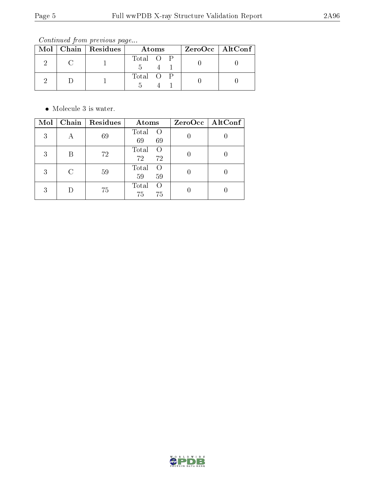Continued from previous page...

|  | $Mol$   Chain   Residues | Atoms     | $ZeroOcc$   AltConf |  |
|--|--------------------------|-----------|---------------------|--|
|  |                          | Total O P |                     |  |
|  |                          | Total O P |                     |  |

• Molecule 3 is water.

| Mol | Chain | Residues | Atoms                                 | ZeroOcc   AltConf |
|-----|-------|----------|---------------------------------------|-------------------|
| 3   | А     | 69       | Total<br>69<br>69                     |                   |
| 3   |       | 72       | Total<br>$\left($<br>72<br>72         |                   |
| 3   |       | 59       | Total<br>$\left( \right)$<br>59<br>59 |                   |
| 3   |       | 75       | Total<br>$\left( \right)$<br>75<br>75 |                   |

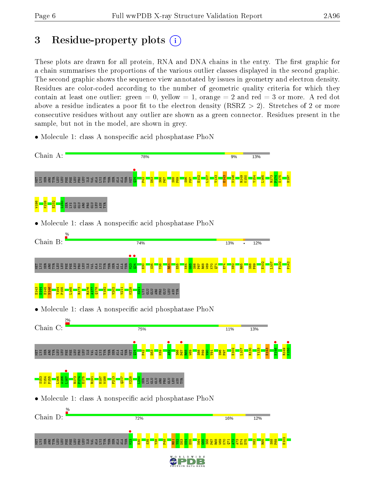## 3 Residue-property plots  $(i)$

These plots are drawn for all protein, RNA and DNA chains in the entry. The first graphic for a chain summarises the proportions of the various outlier classes displayed in the second graphic. The second graphic shows the sequence view annotated by issues in geometry and electron density. Residues are color-coded according to the number of geometric quality criteria for which they contain at least one outlier: green  $= 0$ , yellow  $= 1$ , orange  $= 2$  and red  $= 3$  or more. A red dot above a residue indicates a poor fit to the electron density (RSRZ  $> 2$ ). Stretches of 2 or more consecutive residues without any outlier are shown as a green connector. Residues present in the sample, but not in the model, are shown in grey.

• Molecule 1: class A nonspecific acid phosphatase PhoN

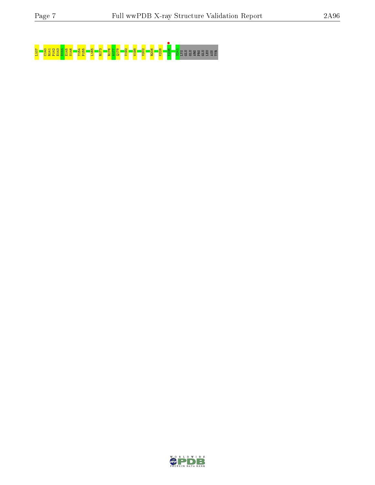# Ling<br><mark>197 - Sang ang pag-sang pag-sang pag-sang pag-sang pag-sang pag-sang pag-sang pag-sang pag-sang pag-sang pag-s</mark>

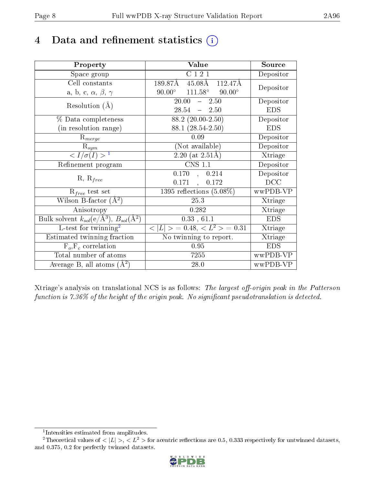## 4 Data and refinement statistics  $(i)$

| Property                                                             | Value                                                       | Source     |
|----------------------------------------------------------------------|-------------------------------------------------------------|------------|
| Space group                                                          | C121                                                        | Depositor  |
| Cell constants                                                       | 189.87Å<br>$45.08\text{\AA}$<br>$112.47\overline{\text{A}}$ | Depositor  |
| a, b, c, $\alpha$ , $\beta$ , $\gamma$                               | $90.00^{\circ}$<br>$111.58^\circ$<br>$90.00^{\circ}$        |            |
| Resolution $(A)$                                                     | $20.00 - 2.50$                                              | Depositor  |
|                                                                      | 28.54<br>$-2.50$                                            | <b>EDS</b> |
| % Data completeness                                                  | $88.2(20.00-2.50)$                                          | Depositor  |
| (in resolution range)                                                | 88.1 (28.54-2.50)                                           | <b>EDS</b> |
| $R_{merge}$                                                          | 0.09                                                        | Depositor  |
| $\mathrm{R}_{sym}$                                                   | (Not available)                                             | Depositor  |
| $\sqrt{I/\sigma(I)} > 1$                                             | $2.20$ (at $2.51\text{\AA}$ )                               | Xtriage    |
| Refinement program                                                   | <b>CNS 1.1</b>                                              | Depositor  |
|                                                                      | 0.170, 0.214                                                | Depositor  |
| $R, R_{free}$                                                        | $0.171$ ,<br>0.172                                          | DCC        |
| $R_{free}$ test set                                                  | 1395 reflections $(5.08\%)$                                 | wwPDB-VP   |
| Wilson B-factor $(A^2)$                                              | 25.3                                                        | Xtriage    |
| Anisotropy                                                           | 0.282                                                       | Xtriage    |
| Bulk solvent $k_{sol}(e/\mathring{A}^3)$ , $B_{sol}(\mathring{A}^2)$ | 0.33, 61.1                                                  | <b>EDS</b> |
| L-test for twinning <sup>2</sup>                                     | $< L >$ = 0.48, $< L2$ = 0.31                               | Xtriage    |
| Estimated twinning fraction                                          | No twinning to report.                                      | Xtriage    |
| $F_o, F_c$ correlation                                               | 0.95                                                        | <b>EDS</b> |
| Total number of atoms                                                | 7255                                                        | wwPDB-VP   |
| Average B, all atoms $(A^2)$                                         | 28.0                                                        | wwPDB-VP   |

Xtriage's analysis on translational NCS is as follows: The largest off-origin peak in the Patterson function is  $7.36\%$  of the height of the origin peak. No significant pseudotranslation is detected.

<sup>&</sup>lt;sup>2</sup>Theoretical values of  $\langle |L| \rangle$ ,  $\langle L^2 \rangle$  for acentric reflections are 0.5, 0.333 respectively for untwinned datasets, and 0.375, 0.2 for perfectly twinned datasets.



<span id="page-7-1"></span><span id="page-7-0"></span><sup>1</sup> Intensities estimated from amplitudes.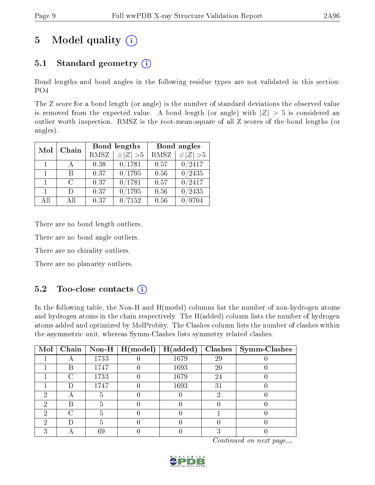## 5 Model quality  $(i)$

### 5.1 Standard geometry  $(i)$

Bond lengths and bond angles in the following residue types are not validated in this section: PO4

The Z score for a bond length (or angle) is the number of standard deviations the observed value is removed from the expected value. A bond length (or angle) with  $|Z| > 5$  is considered an outlier worth inspection. RMSZ is the root-mean-square of all Z scores of the bond lengths (or angles).

| Mol            | Chain  |             | Bond lengths    | Bond angles |            |  |
|----------------|--------|-------------|-----------------|-------------|------------|--|
|                |        | <b>RMSZ</b> | $\# Z  > 5$     | <b>RMSZ</b> | H Z <br>>5 |  |
| $\mathbf{1}$   | A      | 0.38        | 0/1781          | 0.57        | 0/2417     |  |
| $\mathbf{1}$   | R      | 0.37        | 0/1795          | 0.56        | 0/2435     |  |
| $\mathbf{1}$   | $\cap$ | 0.37        | 0/1781          | 0.57        | 0/2417     |  |
| $\blacksquare$ | Ð      | 0.37        | 0/1795          | 0.56        | 0/2435     |  |
| All            | Αll    | 0.37        | $^{\prime}7152$ | 0.56        | /9704      |  |

There are no bond length outliers.

There are no bond angle outliers.

There are no chirality outliers.

There are no planarity outliers.

#### $5.2$  Too-close contacts  $\overline{1}$

In the following table, the Non-H and H(model) columns list the number of non-hydrogen atoms and hydrogen atoms in the chain respectively. The H(added) column lists the number of hydrogen atoms added and optimized by MolProbity. The Clashes column lists the number of clashes within the asymmetric unit, whereas Symm-Clashes lists symmetry related clashes.

| Mol |   |      | $\boxed{\text{Chain}}$   Non-H   H(model) | H(added) |             | $Clashes$   Symm-Clashes |
|-----|---|------|-------------------------------------------|----------|-------------|--------------------------|
|     |   | 1733 |                                           | 1679     | 29          |                          |
|     | B | 1747 |                                           | 1693     | 20          |                          |
|     |   | 1733 |                                           | 1679     | 24          |                          |
|     |   | 1747 |                                           | 1693     | $3^{\circ}$ |                          |
| 6)  |   |      |                                           |          |             |                          |
| ٠,  | R |      |                                           |          |             |                          |
| റ   |   |      |                                           |          |             |                          |
|     |   |      |                                           |          |             |                          |
|     |   | ĥС   |                                           |          |             |                          |

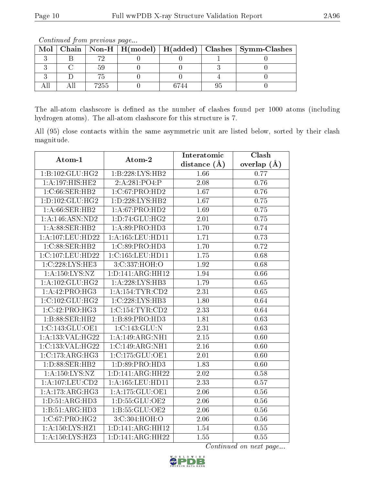|  |        |  | Mol   Chain   Non-H   H(model)   H(added)   Clashes   Symm-Clashes |
|--|--------|--|--------------------------------------------------------------------|
|  |        |  |                                                                    |
|  |        |  |                                                                    |
|  |        |  |                                                                    |
|  | 7255 - |  |                                                                    |

Continued from previous page...

The all-atom clashscore is defined as the number of clashes found per 1000 atoms (including hydrogen atoms). The all-atom clashscore for this structure is 7.

All (95) close contacts within the same asymmetric unit are listed below, sorted by their clash magnitude.

| Atom-1              | Atom-2               | Interatomic    | Clash           |
|---------------------|----------------------|----------------|-----------------|
|                     |                      | distance $(A)$ | overlap $(\AA)$ |
| 1:B:102:GLU:HG2     | 1:B:228:LYS:HB2      | 1.66           | 0.77            |
| 1:A:197:HIS:HE2     | 2:A:281:PO4:P        | 2.08           | 0.76            |
| 1:C:66:SER:HB2      | 1:C:67:PRO:HD2       | 1.67           | 0.76            |
| 1: D: 102: GLU: HG2 | 1:D:228:LYS:HB2      | 1.67           | 0.75            |
| 1: A:66: SER:HB2    | 1: A:67: PRO:HD2     | 1.69           | 0.75            |
| 1:A:146:ASN:ND2     | 1: D: 74: GLU: HG2   | 2.01           | 0.75            |
| 1:A:88:SER:HB2      | 1:A:89:PRO:HD3       | 1.70           | 0.74            |
| 1:A:107:LEU:HD22    | 1:A:165:LEU:HDI1     | 1.71           | 0.73            |
| 1:C:88:SER:HB2      | 1:C:89:PRO:HD3       | 1.70           | 0.72            |
| 1:C:107:LEU:HD22    | 1:C:165:LEU:HD11     | 1.75           | 0.68            |
| 1:C:228:LYS:HE3     | 3:C:337:HOH:O        | 1.92           | 0.68            |
| 1: A: 150: LYS: NZ  | 1: D: 141: ARG: HH12 | 1.94           | 0.66            |
| 1: A:102: GLU:HG2   | 1:A:228:LYS:HB3      | 1.79           | 0.65            |
| 1:A:42:PRO:HG3      | 1: A: 154: TYR: CD2  | 2.31           | 0.65            |
| 1:C:102:GLU:HG2     | 1:C:228:LYS:HB3      | 1.80           | 0.64            |
| 1:C:42:PRO:HG3      | 1:C:154:TYR:CD2      | 2.33           | 0.64            |
| 1:B:88:SER:HB2      | 1:B:89:PRO:HD3       | 1.81           | 0.63            |
| 1:C:143:GLU:OE1     | 1:C:143:GLU:N        | 2.31           | 0.63            |
| 1:A:133:VAL:HG22    | 1:A:149:ARG:NH1      | 2.15           | 0.60            |
| 1:C:133:VAL:HG22    | 1:C:149:ARG:NH1      | 2.16           | 0.60            |
| 1:C:173:ARG:HG3     | 1:C:175:GLU:OE1      | 2.01           | 0.60            |
| 1: D:88: SER:HB2    | 1:D:89:PRO:HD3       | 1.83           | 0.60            |
| 1:A:150:LYS:NZ      | 1:D:141:ARG:HH22     | 2.02           | 0.58            |
| 1:A:107:LEU:CD2     | 1:A:165:LEU:HD11     | 2.33           | 0.57            |
| 1:A:173:ARG:HG3     | 1: A:175: GLU:OE1    | 2.06           | $0.56\,$        |
| 1: D: 51: ARG: HD3  | 1:D:55:GLU:OE2       | 2.06           | $0.56\,$        |
| 1:B:51:ARG:HD3      | 1:B:55:GLU:OE2       | 2.06           | 0.56            |
| 1:C:67:PRO:HG2      | 3:C:304:HOH:O        | 2.06           | 0.56            |
| 1:A:150:LYS:HZ1     | 1:D:141:ARG:HH12     | 1.54           | 0.55            |
| 1:A:150:LYS:HZ3     | 1: D: 141: ARG: HH22 | 1.55           | 0.55            |

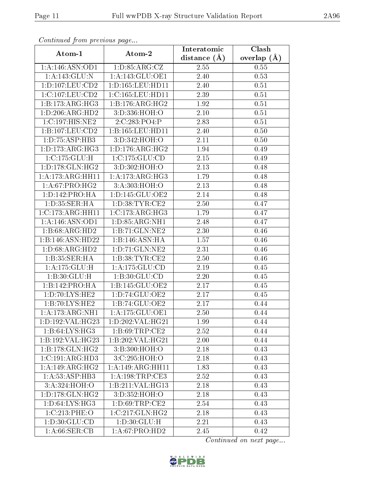| Continuea from previous page |                             | Interatomic    | Clash           |
|------------------------------|-----------------------------|----------------|-----------------|
| Atom-1                       | Atom-2                      | distance $(A)$ | overlap $(\AA)$ |
| 1:A:146:ASN:OD1              | 1: D: 85: ARG: CZ           | 2.55           | 0.55            |
| $1:$ A:143: $GLU:$ N         | 1: A:143: GLU:OE1           | 2.40           | 0.53            |
| 1: D: 107: LEU: CD2          | 1: D: 165: LEU: HD11        | 2.40           | 0.51            |
| 1:C:107:LEU:CD2              | 1:C:165:LEU:HD11            | 2.39           | 0.51            |
| 1:B:173:ARG:HG3              | 1:B:176:ARG:HG2             | 1.92           | 0.51            |
| 1: D:206: ARG:HD2            | 3:D:336:HOH:O               | $2.10\,$       | 0.51            |
| 1:C:197:HIS:NE2              | 2:C:283:PO4:P               | 2.83           | 0.51            |
| 1:B:107:LEU:CD2              | 1:B:165:LEU:HD11            | 2.40           | 0.50            |
| 1:D:75:ASP:HB3               | 3:D:342:HOH:O               | 2.11           | 0.50            |
| 1: D: 173: ARG: HG3          | 1: D: 176: ARG: HG2         | 1.94           | 0.49            |
| 1:C:175:GLU:H                | 1:C:175:GLU:CD              | 2.15           | 0.49            |
| 1: D: 178: GLN: HG2          | 3:D:302:HOH:O               | 2.13           | 0.48            |
| 1:A:173:ARG:HH11             | 1:A:173:ARG:HG3             | 1.79           | 0.48            |
| 1: A:67: PRO:HG2             | 3:A:303:HOH:O               | 2.13           | 0.48            |
| 1: D: 142: PRO: HA           | 1: D: 145: GLU: OE2         | 2.14           | 0.48            |
| 1: D: 35: SER: HA            | 1: D:38: TYR: CE2           | 2.50           | 0.47            |
| 1:C:173:ARG:HH11             | 1: C: 173: ARG: HG3         | 1.79           | 0.47            |
| 1: A:146: ASN:OD1            | 1:D:85:ARG:NH1              | 2.48           | 0.47            |
| 1:B:68:ARG:HD2               | 1:B:71:GLN:NE2              | 2.30           | 0.46            |
| 1:B:146:ASN:HD22             | 1:B:146:ASN:HA              | 1.57           | 0.46            |
| 1: D:68: ARG:HD2             | 1: D: 71: GLN: NE2          | 2.31           | 0.46            |
| 1:B:35:SER:HA                | 1:B:38:TYR:CE2              | 2.50           | 0.46            |
| 1:A:175:GLU:H                | 1: A: 175: GLU: CD          | 2.19           | 0.45            |
| 1:B:30:GLU:H                 | 1:B:30:GLU:CD               | 2.20           | 0.45            |
| 1:B:142:PRO:HA               | 1:B:145:GLU:OE2             | 2.17           | 0.45            |
| 1: D: 70: LYS: HE2           | 1:D:74:GLU:OE2              | 2.17           | 0.45            |
| 1:B:70:LYS:HE2               | $1:B:74:GLU:O\overline{E2}$ | 2.17           | 0.44            |
| 1:A:173:ARG:NH1              | 1: A:175: GLU:OE1           | 2.50           | 0.44            |
| 1:D:192:VAL:HG23             | 1:D:202:VAL:HG21            | 1.99           | 0.44            |
| 1:B:64:LYS:HG3               | 1: B:69:TRP:CE2             | 2.52           | 0.44            |
| 1:B:192:VAL:HG23             | 1:B:202:VAL:HG21            | 2.00           | 0.44            |
| 1:B:178:GLN:HG2              | 3:B:300:HOH:O               | 2.18           | 0.43            |
| 1:C:191:ARG:HD3              | 3:C:295:HOH:O               | 2.18           | 0.43            |
| 1:A:149:ARG:HG2              | 1:A:149:ARG:HH11            | 1.83           | 0.43            |
| 1: A: 53: ASP: HB3           | 1: A:198:TRP:CE3            | 2.52           | 0.43            |
| 3:A:324:HOH:O                | 1:B:211:VAL:HG13            | 2.18           | 0.43            |
| 1: D: 178: GLN: HG2          | 3:D:352:HOH:O               | 2.18           | 0.43            |
| 1:D:64:LYS:HG3               | 1: D:69:TRP:CE2             | 2.54           | 0.43            |
| 1:C:213:PHE:O                | 1:C:217:GLN:HG2             | 2.18           | 0.43            |
| 1: D:30: GLU:CD              | 1: D:30: GLU: H             | 2.21           | 0.43            |
| 1: A:66:SER:CB               | 1:A:67:PRO:HD2              | 2.45           | 0.42            |

Continued from previous page.

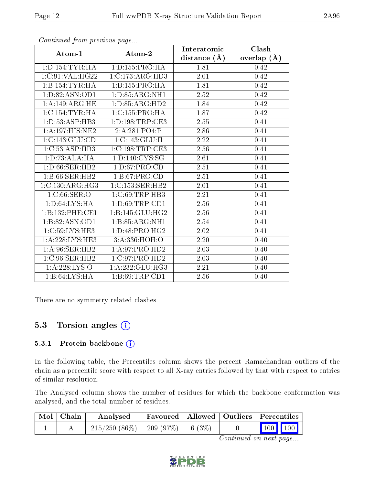| Atom-1              | Atom-2              | Interatomic      | Clash         |
|---------------------|---------------------|------------------|---------------|
|                     |                     | distance $(\AA)$ | overlap $(A)$ |
| 1: D: 154: TYR: HA  | 1:D:155:PRO:HA      | 1.81             | 0.42          |
| 1:C:91:VAL:HG22     | 1:C:173:ARG:HD3     | 2.01             | 0.42          |
| 1:B:154:TYR:HA      | 1:B:155:PRO:HA      | 1.81             | 0.42          |
| 1: D: 82: ASN: OD1  | 1: D: 85: ARG: NH1  | 2.52             | 0.42          |
| 1:A:149:ARG:HE      | 1: D: 85: ARG: HD2  | 1.84             | 0.42          |
| 1: C: 154: TYR: HA  | 1:C:155:PRO:HA      | 1.87             | 0.42          |
| 1: D: 53: ASP: HB3  | 1: D: 198: TRP: CE3 | 2.55             | 0.41          |
| 1: A: 197: HIS: NE2 | 2: A:281:PO4:P      | 2.86             | 0.41          |
| 1:C:143:GLU:CD      | 1:C:143:GLU:H       | 2.22             | 0.41          |
| 1: C: 53: ASP: HB3  | 1:C:198:TRP:CE3     | 2.56             | 0.41          |
| 1:D:73:ALA:HA       | 1: D: 140: CYS: SG  | 2.61             | 0.41          |
| 1: D:66: SER:HB2    | 1: D:67: PRO:CD     | 2.51             | 0.41          |
| 1:B:66:SER:HB2      | 1:B:67:PRO:CD       | 2.51             | 0.41          |
| 1:C:130:ARG:HG3     | 1:C:153:SER:HB2     | 2.01             | 0.41          |
| 1:C:66:SER:O        | 1:C:69:TRP:HB3      | 2.21             | 0.41          |
| 1: D:64: LYS:HA     | 1: D:69:TRP:CD1     | 2.56             | 0.41          |
| 1:B:132:PHE:CE1     | 1:B:145:GLU:HG2     | 2.56             | 0.41          |
| 1:B:82:ASN:OD1      | 1:5:85:ARG:NH1      | 2.54             | 0.41          |
| 1:C:59:LYS:HE3      | 1: D: 48: PRO:HG2   | 2.02             | 0.41          |
| 1:A:228:LYS:HE3     | 3:A:336:HOH:O       | 2.20             | 0.40          |
| 1: A:96: SER: HB2   | 1: A:97: PRO:HD2    | 2.03             | 0.40          |
| 1:C:96:SER:HB2      | 1:C:97:PRO:HD2      | 2.03             | 0.40          |
| 1:A:228:LYS:O       | 1: A: 232: GLU: HG3 | 2.21             | 0.40          |
| 1:B:64:LYS:HA       | 1: B:69:TRP:CD1     | 2.56             | 0.40          |

Continued from previous page...

There are no symmetry-related clashes.

#### 5.3 Torsion angles (i)

#### 5.3.1 Protein backbone (i)

In the following table, the Percentiles column shows the percent Ramachandran outliers of the chain as a percentile score with respect to all X-ray entries followed by that with respect to entries of similar resolution.

The Analysed column shows the number of residues for which the backbone conformation was analysed, and the total number of residues.

| Mol   Chain | Analysed                                | Favoured   Allowed   Outliers   Percentiles |  |                 |  |
|-------------|-----------------------------------------|---------------------------------------------|--|-----------------|--|
|             | $215/250$ (86\%)   209 (97\%)   6 (3\%) |                                             |  | $\vert$ 100 100 |  |

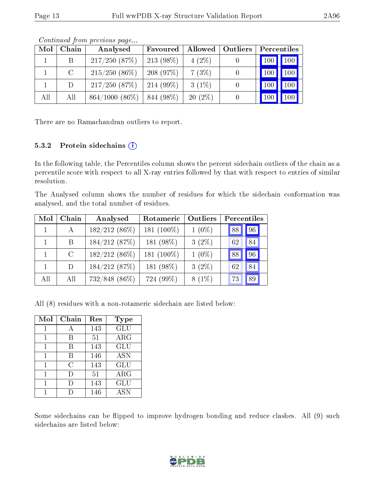| Mol | Chain   | Analysed         | Favoured    | Allowed   | Outliers | Percentiles |             |
|-----|---------|------------------|-------------|-----------|----------|-------------|-------------|
|     |         | $217/250$ (87%)  | $213(98\%)$ | $4(2\%)$  |          | 100         | $\vert$ 100 |
|     | $\rm C$ | $215/250(86\%)$  | 208(97%)    | 7(3%)     |          |             | 100         |
|     | D.      | 217/250(87%)     | $214(99\%)$ | $3(1\%)$  |          | 100         | $100 \mid$  |
| All | All     | $864/1000(86\%)$ | 844 (98%)   | $20(2\%)$ |          |             | 100         |

Continued from previous page...

There are no Ramachandran outliers to report.

#### 5.3.2 Protein sidechains  $(i)$

In the following table, the Percentiles column shows the percent sidechain outliers of the chain as a percentile score with respect to all X-ray entries followed by that with respect to entries of similar resolution.

The Analysed column shows the number of residues for which the sidechain conformation was analysed, and the total number of residues.

| Mol | Chain   | Analysed      | Rotameric     | Outliers | Percentiles |    |
|-----|---------|---------------|---------------|----------|-------------|----|
|     | A       | 182/212 (86%) | 181 $(100\%)$ | $1(0\%)$ | 88          | 96 |
|     | B.      | 184/212 (87%) | 181 (98%)     | $3(2\%)$ | 62          | 84 |
|     | $\rm C$ | 182/212 (86%) | 181 (100%)    | $1(0\%)$ | 88          | 96 |
|     | D.      | 184/212(87%)  | 181 (98%)     | $3(2\%)$ | 62          | 84 |
| All | All     | 732/848 (86%) | 724 (99%)     | $8(1\%)$ | 73          | 89 |

All (8) residues with a non-rotameric sidechain are listed below:

| Mol | Chain          | Res | Type       |
|-----|----------------|-----|------------|
|     | А              | 143 | GLU        |
| 1   | В              | 51  | $\rm{ARG}$ |
| 1   | R              | 143 | GLU        |
| 1   | В              | 146 | <b>ASN</b> |
|     | $\overline{C}$ | 143 | GLU        |
|     | Ð              | 51  | $\rm{ARG}$ |
|     |                | 143 | GLU        |
|     |                | 146 | <b>ASN</b> |

Some sidechains can be flipped to improve hydrogen bonding and reduce clashes. All (9) such sidechains are listed below:

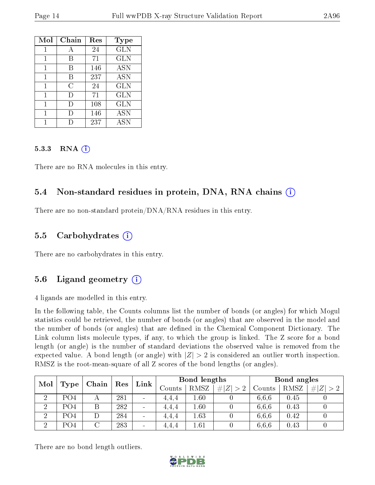| Mol | Chain | Res | Type       |
|-----|-------|-----|------------|
|     |       | 24  | <b>GLN</b> |
| 1   | В     | 71  | GLN        |
| 1   | B     | 146 | <b>ASN</b> |
| 1   | В     | 237 | <b>ASN</b> |
| 1   | С     | 24  | <b>GLN</b> |
| 1   | Ð     | 71  | <b>GLN</b> |
| 1   | I)    | 108 | <b>GLN</b> |
| 1   | Ð     | 146 | <b>ASN</b> |
|     |       | 237 | <b>ASN</b> |

#### $5.3.3$  RNA  $(i)$

There are no RNA molecules in this entry.

#### 5.4 Non-standard residues in protein, DNA, RNA chains (i)

There are no non-standard protein/DNA/RNA residues in this entry.

#### 5.5 Carbohydrates (i)

There are no carbohydrates in this entry.

#### 5.6 Ligand geometry  $(i)$

4 ligands are modelled in this entry.

In the following table, the Counts columns list the number of bonds (or angles) for which Mogul statistics could be retrieved, the number of bonds (or angles) that are observed in the model and the number of bonds (or angles) that are defined in the Chemical Component Dictionary. The Link column lists molecule types, if any, to which the group is linked. The Z score for a bond length (or angle) is the number of standard deviations the observed value is removed from the expected value. A bond length (or angle) with  $|Z| > 2$  is considered an outlier worth inspection. RMSZ is the root-mean-square of all Z scores of the bond lengths (or angles).

| Mol            |      | Chain | Res | Link                         | Bond lengths      |          |             | Bond angles |      |   |
|----------------|------|-------|-----|------------------------------|-------------------|----------|-------------|-------------|------|---|
|                | Type |       |     |                              | $\mathrm{Counts}$ | RMSZ     | # $ Z  > 2$ | Counts      | RMSZ | # |
| ച              | PO4  |       | 281 | $\overline{\phantom{a}}$     | 4.4.4             | .60      |             | 6.6.6       | 0.45 |   |
| $\overline{2}$ | PO4  | Β     | 282 | $\qquad \qquad \blacksquare$ | 4,4,4             | 1.60     |             | 6.6.6       | 0.43 |   |
| ച              | PO4  |       | 284 | $\overline{\phantom{a}}$     | 4.4.4             | 1.63     |             | 6.6.6       | 0.42 |   |
| ച              | PO4  |       | 283 | $\blacksquare$               | 4,4,4             | $1.61\,$ |             | 6.6.6       | 0.43 |   |

There are no bond length outliers.

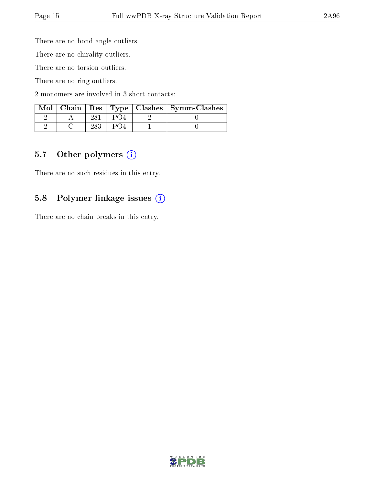There are no bond angle outliers.

There are no chirality outliers.

There are no torsion outliers.

There are no ring outliers.

2 monomers are involved in 3 short contacts:

|  |  | Mol   Chain   Res   Type   Clashes   Symm-Clashes |
|--|--|---------------------------------------------------|
|  |  |                                                   |
|  |  |                                                   |

#### 5.7 [O](https://www.wwpdb.org/validation/2017/XrayValidationReportHelp#nonstandard_residues_and_ligands)ther polymers (i)

There are no such residues in this entry.

#### 5.8 Polymer linkage issues (i)

There are no chain breaks in this entry.

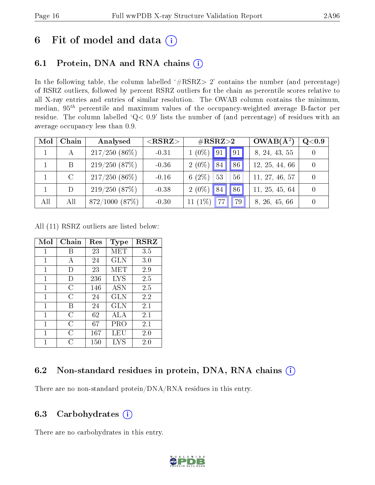## 6 Fit of model and data  $(i)$

## 6.1 Protein, DNA and RNA chains  $(i)$

In the following table, the column labelled  $#RSRZ> 2'$  contains the number (and percentage) of RSRZ outliers, followed by percent RSRZ outliers for the chain as percentile scores relative to all X-ray entries and entries of similar resolution. The OWAB column contains the minimum, median,  $95<sup>th</sup>$  percentile and maximum values of the occupancy-weighted average B-factor per residue. The column labelled ' $Q< 0.9$ ' lists the number of (and percentage) of residues with an average occupancy less than 0.9.

| Mol | Chain                       | Analysed            | ${ <\hspace{-1.5pt}{\mathrm{RSRZ}} \hspace{-1.5pt}>}$ | $\#\text{RSRZ}{>}2$     | $OWAB(A^2)$    | Q <sub>0.9</sub> |
|-----|-----------------------------|---------------------|-------------------------------------------------------|-------------------------|----------------|------------------|
|     |                             | $217/250(86\%)$     | $-0.31$                                               | $1(0\%)$ 91<br>91       | 8, 24, 43, 55  |                  |
|     | B                           | 219/250(87%)        | $-0.36$                                               | $2(0\%)$<br>86<br> 84   | 12, 25, 44, 66 |                  |
|     | $\mathcal{C}_{\mathcal{C}}$ | $217/250(86\%)$     | $-0.16$                                               | 6 $(2\%)$<br>53<br>56   | 11, 27, 46, 57 |                  |
|     | D                           | 219/250(87%)        | $-0.38$                                               | $2(0\%)$<br>86<br>84    | 11, 25, 45, 64 |                  |
| All | All                         | $872/1000$ $(87\%)$ | $-0.30$                                               | 11 $(1\%)$<br>177<br>79 | 8, 26, 45, 66  |                  |

All (11) RSRZ outliers are listed below:

| Mol          | Chain | Res | <b>Type</b> | <b>RSRZ</b> |  |
|--------------|-------|-----|-------------|-------------|--|
| 1            | В     | 23  | MET         | 3.5         |  |
| $\mathbf{1}$ | А     | 24  | <b>GLN</b>  | 3.0         |  |
| 1            | I)    | 23  | MET         | 2.9         |  |
| 1            | D     | 236 | <b>LYS</b>  | 2.5         |  |
| 1            | C     | 146 | <b>ASN</b>  | 2.5         |  |
| 1            | C     | 24  | GLN         | 2.2         |  |
| 1            | В     | 24  | <b>GLN</b>  | 2.1         |  |
| 1            | С     | 62  | ALA         | 2.1         |  |
| 1            | С     | 67  | PRO         | 2.1         |  |
| 1            | C     | 167 | LEU         | 2.0         |  |
| 1            | ( )   | 150 | LYS         | 2.0         |  |

#### 6.2 Non-standard residues in protein, DNA, RNA chains (i)

There are no non-standard protein/DNA/RNA residues in this entry.

#### 6.3 Carbohydrates (i)

There are no carbohydrates in this entry.